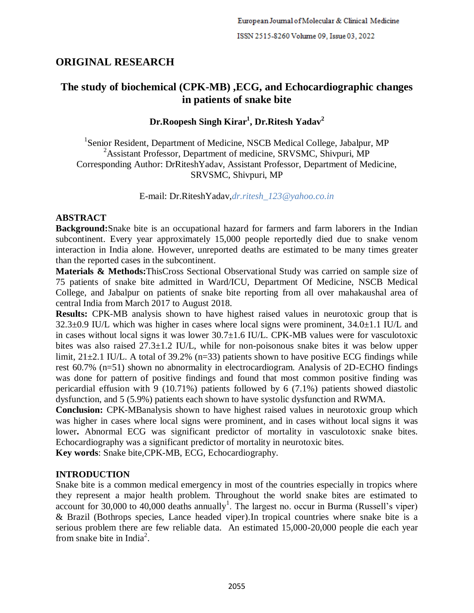# **ORIGINAL RESEARCH**

# **The study of biochemical (CPK-MB) ,ECG, and Echocardiographic changes in patients of snake bite**

## **Dr.Roopesh Singh Kirar<sup>1</sup> , Dr.Ritesh Yadav<sup>2</sup>**

<sup>1</sup>Senior Resident, Department of Medicine, NSCB Medical College, Jabalpur, MP <sup>2</sup>Assistant Professor, Department of medicine, SRVSMC, Shivpuri, MP Corresponding Author: DrRiteshYadav, Assistant Professor, Department of Medicine, SRVSMC, Shivpuri, MP

E-mail: Dr.RiteshYadav,*dr.ritesh\_123@yahoo.co.in*

### **ABSTRACT**

**Background:**Snake bite is an occupational hazard for farmers and farm laborers in the Indian subcontinent. Every year approximately 15,000 people reportedly died due to snake venom interaction in India alone*.* However, unreported deaths are estimated to be many times greater than the reported cases in the subcontinent.

**Materials & Methods:**ThisCross Sectional Observational Study was carried on sample size of 75 patients of snake bite admitted in Ward/ICU, Department Of Medicine, NSCB Medical College, and Jabalpur on patients of snake bite reporting from all over mahakaushal area of central India from March 2017 to August 2018.

**Results:** CPK-MB analysis shown to have highest raised values in neurotoxic group that is  $32.3\pm0.9$  IU/L which was higher in cases where local signs were prominent,  $34.0\pm1.1$  IU/L and in cases without local signs it was lower 30.7±1.6 IU/L. CPK-MB values were for vasculotoxic bites was also raised 27.3±1.2 IU/L, while for non-poisonous snake bites it was below upper limit,  $21\pm2.1$  IU/L. A total of 39.2% (n=33) patients shown to have positive ECG findings while rest 60.7% (n=51) shown no abnormality in electrocardiogram. Analysis of 2D-ECHO findings was done for pattern of positive findings and found that most common positive finding was pericardial effusion with 9 (10.71%) patients followed by 6 (7.1%) patients showed diastolic dysfunction, and 5 (5.9%) patients each shown to have systolic dysfunction and RWMA.

**Conclusion:** CPK-MBanalysis shown to have highest raised values in neurotoxic group which was higher in cases where local signs were prominent, and in cases without local signs it was lower**.** Abnormal ECG was significant predictor of mortality in vasculotoxic snake bites. Echocardiography was a significant predictor of mortality in neurotoxic bites.

**Key words**: Snake bite,CPK-MB, ECG, Echocardiography.

## **INTRODUCTION**

Snake bite is a common medical emergency in most of the countries especially in tropics where they represent a major health problem. Throughout the world snake bites are estimated to account for 30,000 to 40,000 deaths annually<sup>1</sup>. The largest no. occur in Burma (Russell's viper) & Brazil (Bothrops species, Lance headed viper)*.*In tropical countries where snake bite is a serious problem there are few reliable data. An estimated 15,000-20,000 people die each year from snake bite in India<sup>2</sup>.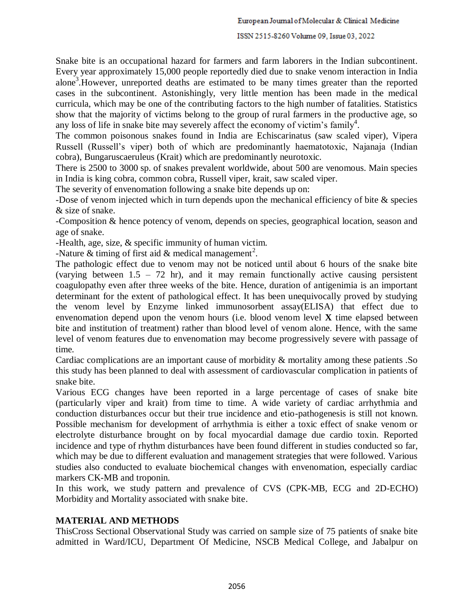Snake bite is an occupational hazard for farmers and farm laborers in the Indian subcontinent. Every year approximately 15,000 people reportedly died due to snake venom interaction in India alone<sup>3</sup>. However, unreported deaths are estimated to be many times greater than the reported cases in the subcontinent. Astonishingly, very little mention has been made in the medical curricula, which may be one of the contributing factors to the high number of fatalities. Statistics show that the majority of victims belong to the group of rural farmers in the productive age, so any loss of life in snake bite may severely affect the economy of victim's family<sup>4</sup>.

The common poisonous snakes found in India are Echiscarinatus (saw scaled viper), Vipera Russell (Russell's viper) both of which are predominantly haematotoxic, Najanaja (Indian cobra), Bungaruscaeruleus (Krait) which are predominantly neurotoxic.

There is 2500 to 3000 sp. of snakes prevalent worldwide, about 500 are venomous. Main species in India is king cobra, common cobra, Russell viper, krait, saw scaled viper.

The severity of envenomation following a snake bite depends up on:

-Dose of venom injected which in turn depends upon the mechanical efficiency of bite & species & size of snake.

-Composition & hence potency of venom, depends on species, geographical location, season and age of snake.

-Health, age, size, & specific immunity of human victim.

-Nature & timing of first aid & medical management<sup>2</sup>.

The pathologic effect due to venom may not be noticed until about 6 hours of the snake bite (varying between  $1.5 - 72$  hr), and it may remain functionally active causing persistent coagulopathy even after three weeks of the bite. Hence, duration of antigenimia is an important determinant for the extent of pathological effect. It has been unequivocally proved by studying the venom level by Enzyme linked immunosorbent assay(ELISA) that effect due to envenomation depend upon the venom hours (i.e. blood venom level **X** time elapsed between bite and institution of treatment) rather than blood level of venom alone. Hence, with the same level of venom features due to envenomation may become progressively severe with passage of time*.*

Cardiac complications are an important cause of morbidity & mortality among these patients .So this study has been planned to deal with assessment of cardiovascular complication in patients of snake bite.

Various ECG changes have been reported in a large percentage of cases of snake bite (particularly viper and krait) from time to time. A wide variety of cardiac arrhythmia and conduction disturbances occur but their true incidence and etio-pathogenesis is still not known. Possible mechanism for development of arrhythmia is either a toxic effect of snake venom or electrolyte disturbance brought on by focal myocardial damage due cardio toxin. Reported incidence and type of rhythm disturbances have been found different in studies conducted so far, which may be due to different evaluation and management strategies that were followed. Various studies also conducted to evaluate biochemical changes with envenomation, especially cardiac markers CK-MB and troponin.

In this work, we study pattern and prevalence of CVS (CPK-MB, ECG and 2D-ECHO) Morbidity and Mortality associated with snake bite.

#### **MATERIAL AND METHODS**

ThisCross Sectional Observational Study was carried on sample size of 75 patients of snake bite admitted in Ward/ICU, Department Of Medicine, NSCB Medical College, and Jabalpur on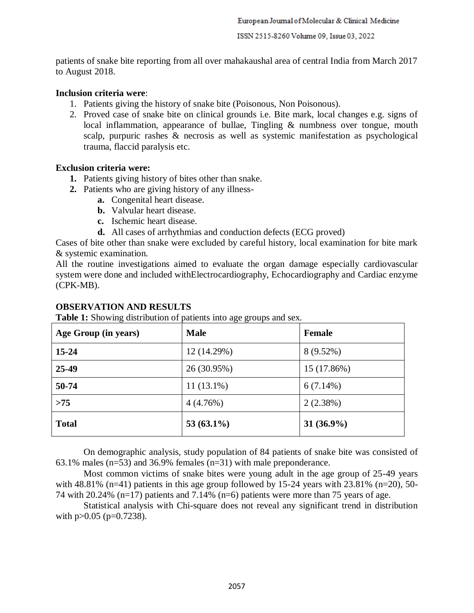patients of snake bite reporting from all over mahakaushal area of central India from March 2017 to August 2018.

#### **Inclusion criteria were**:

- 1. Patients giving the history of snake bite (Poisonous, Non Poisonous).
- 2. Proved case of snake bite on clinical grounds i.e. Bite mark, local changes e.g. signs of local inflammation, appearance of bullae, Tingling & numbness over tongue, mouth scalp, purpuric rashes & necrosis as well as systemic manifestation as psychological trauma, flaccid paralysis etc.

#### **Exclusion criteria were:**

- **1.** Patients giving history of bites other than snake.
- **2.** Patients who are giving history of any illness
	- **a.** Congenital heart disease.
	- **b.** Valvular heart disease.
	- **c.** Ischemic heart disease.
	- **d.** All cases of arrhythmias and conduction defects (ECG proved)

Cases of bite other than snake were excluded by careful history, local examination for bite mark & systemic examination.

All the routine investigations aimed to evaluate the organ damage especially cardiovascular system were done and included withElectrocardiography, Echocardiography and Cardiac enzyme (CPK-MB).

#### **OBSERVATION AND RESULTS**

**Table 1:** Showing distribution of patients into age groups and sex.

| Age Group (in years) | <b>Male</b>   | <b>Female</b> |
|----------------------|---------------|---------------|
| $15 - 24$            | 12 (14.29%)   | $8(9.52\%)$   |
| 25-49                | 26 (30.95%)   | 15 (17.86%)   |
| 50-74                | $11(13.1\%)$  | $6(7.14\%)$   |
| >75                  | 4(4.76%)      | 2(2.38%)      |
| <b>Total</b>         | 53 $(63.1\%)$ | 31 $(36.9\%)$ |

On demographic analysis, study population of 84 patients of snake bite was consisted of 63.1% males (n=53) and 36.9% females (n=31) with male preponderance.

Most common victims of snake bites were young adult in the age group of 25-49 years with  $48.81\%$  (n=41) patients in this age group followed by 15-24 years with  $23.81\%$  (n=20), 50-74 with 20.24% ( $n=17$ ) patients and 7.14% ( $n=6$ ) patients were more than 75 years of age.

Statistical analysis with Chi-square does not reveal any significant trend in distribution with  $p > 0.05$  ( $p = 0.7238$ ).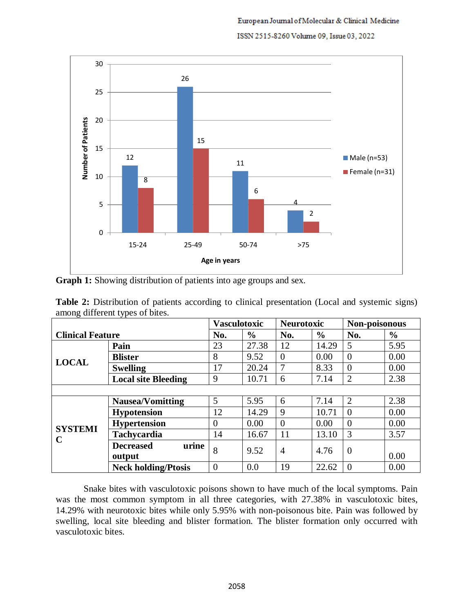

**Graph 1:** Showing distribution of patients into age groups and sex.

| <b>Table 2:</b> Distribution of patients according to clinical presentation (Local and systemic signs) |  |  |  |
|--------------------------------------------------------------------------------------------------------|--|--|--|
| among different types of bites.                                                                        |  |  |  |

|                         | <b>Vasculotoxic</b>        |                | <b>Neurotoxic</b> |          | Non-poisonous |                |               |
|-------------------------|----------------------------|----------------|-------------------|----------|---------------|----------------|---------------|
| <b>Clinical Feature</b> |                            | No.            | $\frac{6}{9}$     | No.      | $\frac{6}{6}$ | No.            | $\frac{0}{0}$ |
|                         | Pain                       | 23             | 27.38             | 12       | 14.29         | 5              | 5.95          |
| <b>LOCAL</b>            | <b>Blister</b>             | 8              | 9.52              | $\Omega$ | 0.00          | $\overline{0}$ | 0.00          |
|                         | <b>Swelling</b>            | 17             | 20.24             |          | 8.33          | $\overline{0}$ | 0.00          |
|                         | <b>Local site Bleeding</b> | 9              | 10.71             | 6        | 7.14          | $\overline{2}$ | 2.38          |
|                         |                            |                |                   |          |               |                |               |
|                         | <b>Nausea/Vomitting</b>    | 5              | 5.95              | 6        | 7.14          | $\overline{2}$ | 2.38          |
|                         | <b>Hypotension</b>         | 12             | 14.29             | 9        | 10.71         | $\overline{0}$ | 0.00          |
| <b>SYSTEMI</b>          | <b>Hypertension</b>        | $\Omega$       | 0.00              | $\Omega$ | 0.00          | $\theta$       | 0.00          |
| $\mathbf C$             | Tachycardia                | 14             | 16.67             | 11       | 13.10         | 3              | 3.57          |
|                         | urine<br><b>Decreased</b>  | 8              | 9.52              | 4        | 4.76          | $\overline{0}$ |               |
|                         | output                     |                |                   |          |               |                | 0.00          |
|                         | <b>Neck holding/Ptosis</b> | $\overline{0}$ | 0.0               | 19       | 22.62         | $\theta$       | 0.00          |

Snake bites with vasculotoxic poisons shown to have much of the local symptoms. Pain was the most common symptom in all three categories, with 27.38% in vasculotoxic bites, 14.29% with neurotoxic bites while only 5.95% with non-poisonous bite. Pain was followed by swelling, local site bleeding and blister formation. The blister formation only occurred with vasculotoxic bites.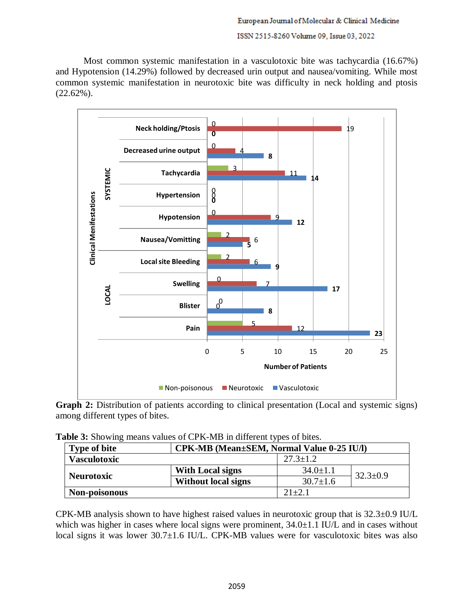Most common systemic manifestation in a vasculotoxic bite was tachycardia (16.67%) and Hypotension (14.29%) followed by decreased urin output and nausea/vomiting. While most common systemic manifestation in neurotoxic bite was difficulty in neck holding and ptosis (22.62%).



**Graph 2:** Distribution of patients according to clinical presentation (Local and systemic signs) among different types of bites.

| Table 3: Showing means values of CPK-MB in different types of bites. |  |  |
|----------------------------------------------------------------------|--|--|
|                                                                      |  |  |

| <b>Type of bite</b> |                            | CPK-MB (Mean±SEM, Normal Value 0-25 IU/l) |                |  |
|---------------------|----------------------------|-------------------------------------------|----------------|--|
| <b>Vasculotoxic</b> |                            | $27.3 \pm 1.2$                            |                |  |
| <b>Neurotoxic</b>   | <b>With Local signs</b>    | $34.0 \pm 1.1$                            | $32.3 \pm 0.9$ |  |
|                     | <b>Without local signs</b> | $30.7 \pm 1.6$                            |                |  |
| Non-poisonous       |                            | $21 + 2.1$                                |                |  |

CPK-MB analysis shown to have highest raised values in neurotoxic group that is 32.3±0.9 IU/L which was higher in cases where local signs were prominent,  $34.0\pm1.1$  IU/L and in cases without local signs it was lower 30.7±1.6 IU/L. CPK-MB values were for vasculotoxic bites was also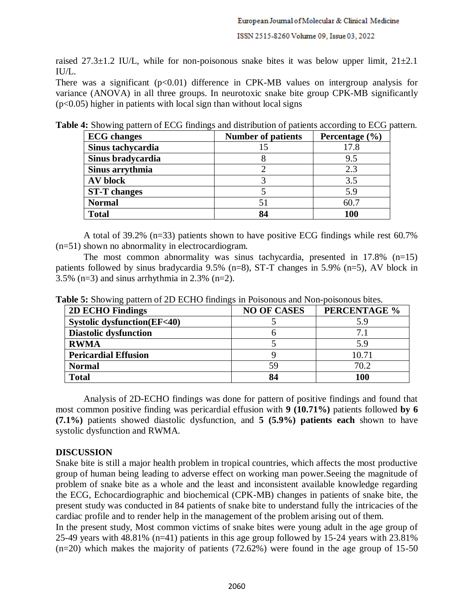raised 27.3 $\pm$ 1.2 IU/L, while for non-poisonous snake bites it was below upper limit,  $21\pm2.1$ IU/L.

There was a significant  $(p<0.01)$  difference in CPK-MB values on intergroup analysis for variance (ANOVA) in all three groups. In neurotoxic snake bite group CPK-MB significantly  $(p<0.05)$  higher in patients with local sign than without local signs

| Table 4: Showing pattern of ECG findings and distribution of patients according to ECG pattern. |                                                                                                                                                                                                                                                                                                                                |  |
|-------------------------------------------------------------------------------------------------|--------------------------------------------------------------------------------------------------------------------------------------------------------------------------------------------------------------------------------------------------------------------------------------------------------------------------------|--|
| $\Gamma$                                                                                        | $\mathbf{1}$ at $\mathbf{1}$ $\mathbf{0}$ $\mathbf{1}$ $\mathbf{1}$ $\mathbf{1}$ $\mathbf{0}$ $\mathbf{1}$ $\mathbf{1}$ $\mathbf{0}$ $\mathbf{1}$ $\mathbf{1}$ $\mathbf{0}$ $\mathbf{1}$ $\mathbf{1}$ $\mathbf{0}$ $\mathbf{1}$ $\mathbf{1}$ $\mathbf{0}$ $\mathbf{1}$ $\mathbf{1}$ $\mathbf{0}$ $\mathbf{1}$ $\mathbf{1}$ $\$ |  |

| <b>ECG</b> changes  | <b>Number of patients</b> | Percentage $(\% )$ |
|---------------------|---------------------------|--------------------|
| Sinus tachycardia   |                           | 17.8               |
| Sinus bradycardia   |                           | 9.5                |
| Sinus arrythmia     |                           | 2.3                |
| <b>AV</b> block     |                           | 3.5                |
| <b>ST-T</b> changes |                           | 5.9                |
| <b>Normal</b>       | 51                        | 60.7               |
| <b>Total</b>        | 84                        | 100                |

A total of 39.2% (n=33) patients shown to have positive ECG findings while rest 60.7% (n=51) shown no abnormality in electrocardiogram.

The most common abnormality was sinus tachycardia, presented in  $17.8\%$  (n=15) patients followed by sinus bradycardia 9.5% (n=8), ST-T changes in 5.9% (n=5), AV block in 3.5% (n=3) and sinus arrhythmia in 2.3% (n=2).

| <b>2D ECHO Findings</b>               | <b>NO OF CASES</b> | PERCENTAGE % |
|---------------------------------------|--------------------|--------------|
| <b>Systolic dysfunction(EF&lt;40)</b> |                    | 5.9          |
| <b>Diastolic dysfunction</b>          |                    | 7.1          |
| <b>RWMA</b>                           |                    | 5.9          |
| <b>Pericardial Effusion</b>           |                    | 10.71        |
| <b>Normal</b>                         | 59                 | 70.2         |
| <b>Total</b>                          | 84                 | 100          |

**Table 5:** Showing pattern of 2D ECHO findings in Poisonous and Non-poisonous bites.

Analysis of 2D-ECHO findings was done for pattern of positive findings and found that most common positive finding was pericardial effusion with **9 (10.71%)** patients followed **by 6 (7.1%)** patients showed diastolic dysfunction, and **5 (5.9%) patients each** shown to have systolic dysfunction and RWMA.

## **DISCUSSION**

Snake bite is still a major health problem in tropical countries, which affects the most productive group of human being leading to adverse effect on working man power.Seeing the magnitude of problem of snake bite as a whole and the least and inconsistent available knowledge regarding the ECG, Echocardiographic and biochemical (CPK-MB) changes in patients of snake bite, the present study was conducted in 84 patients of snake bite to understand fully the intricacies of the cardiac profile and to render help in the management of the problem arising out of them.

In the present study, Most common victims of snake bites were young adult in the age group of 25-49 years with 48.81% (n=41) patients in this age group followed by 15-24 years with 23.81% (n=20) which makes the majority of patients (72.62%) were found in the age group of 15-50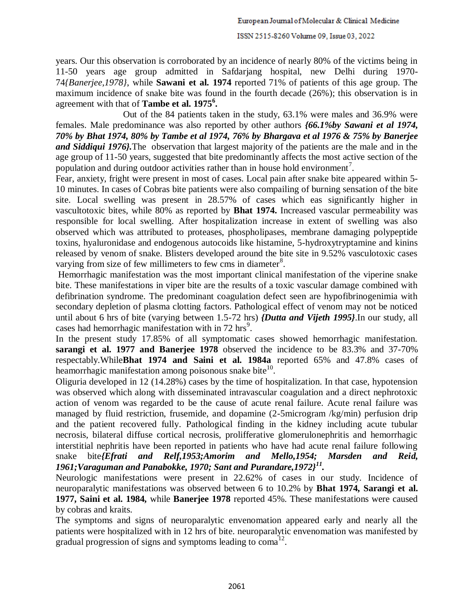years. Our this observation is corroborated by an incidence of nearly 80% of the victims being in 11-50 years age group admitted in Safdarjang hospital, new Delhi during 1970- 74*{Banerjee,1978}*, while **Sawani et al. 1974** reported 71% of patients of this age group. The maximum incidence of snake bite was found in the fourth decade (26%); this observation is in agreement with that of **Tambe et al. 1975<sup>6</sup> .**

 Out of the 84 patients taken in the study, 63.1% were males and 36.9% were females. Male predominance was also reported by other authors *{66.1%by Sawani et al 1974, 70% by Bhat 1974, 80% by Tambe et al 1974, 76% by Bhargava et al 1976 & 75% by Banerjee and Siddiqui 1976}.*The observation that largest majority of the patients are the male and in the age group of 11-50 years, suggested that bite predominantly affects the most active section of the population and during outdoor activities rather than in house hold environment<sup>7</sup>.

Fear, anxiety, fright were present in most of cases. Local pain after snake bite appeared within 5- 10 minutes. In cases of Cobras bite patients were also compailing of burning sensation of the bite site. Local swelling was present in 28.57% of cases which eas significantly higher in vascultotoxic bites, while 80% as reported by **Bhat 1974.** Increased vascular permeability was responsible for local swelling. After hospitalization increase in extent of swelling was also observed which was attributed to proteases, phospholipases, membrane damaging polypeptide toxins, hyaluronidase and endogenous autocoids like histamine, 5-hydroxytryptamine and kinins released by venom of snake. Blisters developed around the bite site in 9.52% vasculotoxic cases varying from size of few millimeters to few cms in diameter $8$ .

Hemorrhagic manifestation was the most important clinical manifestation of the viperine snake bite. These manifestations in viper bite are the results of a toxic vascular damage combined with defibrination syndrome. The predominant coagulation defect seen are hypofibrinogenimia with secondary depletion of plasma clotting factors. Pathological effect of venom may not be noticed until about 6 hrs of bite (varying between 1.5-72 hrs) *{Dutta and Vijeth 1995}*.In our study, all cases had hemorrhagic manifestation with in  $72 \text{ hrs}^9$ .

In the present study 17.85% of all symptomatic cases showed hemorrhagic manifestation. **sarangi et al. 1977 and Banerjee 1978** observed the incidence to be 83.3% and 37-70% respectably.While**Bhat 1974 and Saini et al. 1984a** reported 65% and 47.8% cases of heamorrhagic manifestation among poisonous snake bite $^{10}$ .

Oliguria developed in 12 (14.28%) cases by the time of hospitalization. In that case, hypotension was observed which along with disseminated intravascular coagulation and a direct nephrotoxic action of venom was regarded to be the cause of acute renal failure. Acute renal failure was managed by fluid restriction, frusemide, and dopamine (2-5microgram /kg/min) perfusion drip and the patient recovered fully. Pathological finding in the kidney including acute tubular necrosis, bilateral diffuse cortical necrosis, prolifferative glomerulonephritis and hemorrhagic interstitial nephritis have been reported in patients who have had acute renal failure following snake bite*{Efrati and Relf,1953;Amorim and Mello,1954; Marsden and Reid, 1961;Varaguman and Panabokke, 1970; Sant and Purandare,1972}<sup>11</sup> .*

Neurologic manifestations were present in 22.62% of cases in our study. Incidence of neuroparalytic manifestations was observed between 6 to 10.2% by **Bhat 1974, Sarangi et al. 1977, Saini et al. 1984,** while **Banerjee 1978** reported 45%. These manifestations were caused by cobras and kraits.

The symptoms and signs of neuroparalytic envenomation appeared early and nearly all the patients were hospitalized with in 12 hrs of bite. neuroparalytic envenomation was manifested by gradual progression of signs and symptoms leading to coma<sup>12</sup>.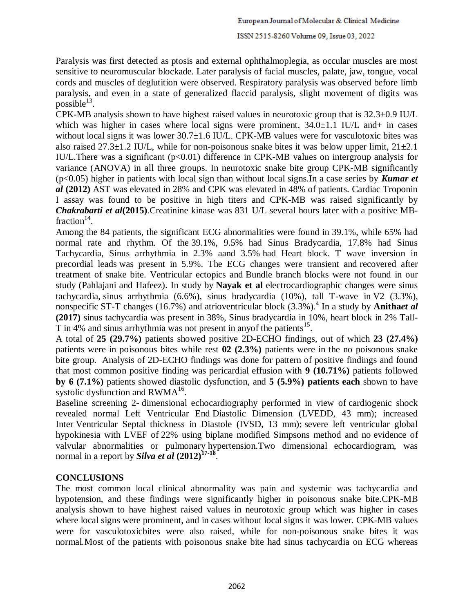Paralysis was first detected as ptosis and external ophthalmoplegia, as occular muscles are most sensitive to neuromuscular blockade. Later paralysis of facial muscles, palate, jaw, tongue, vocal cords and muscles of deglutition were observed. Respiratory paralysis was observed before limb paralysis, and even in a state of generalized flaccid paralysis, slight movement of digits was  $_{\rm possible}$ <sup>13</sup>.

CPK-MB analysis shown to have highest raised values in neurotoxic group that is 32.3±0.9 IU/L which was higher in cases where local signs were prominent,  $34.0 \pm 1.1$  IU/L and + in cases without local signs it was lower 30.7±1.6 IU/L. CPK-MB values were for vasculotoxic bites was also raised  $27.3\pm1.2$  IU/L, while for non-poisonous snake bites it was below upper limit,  $21\pm2.1$ IU/L. There was a significant  $(p<0.01)$  difference in CPK-MB values on intergroup analysis for variance (ANOVA) in all three groups. In neurotoxic snake bite group CPK-MB significantly (p<0.05) higher in patients with local sign than without local signs.In a case series by *Kumar et al* **(2012)** AST was elevated in 28% and CPK was elevated in 48% of patients. Cardiac Troponin I assay was found to be positive in high titers and CPK-MB was raised significantly by *Chakrabarti et al***(2015)**.Creatinine kinase was 831 U/L several hours later with a positive MBfraction $14$ .

Among the 84 patients, the significant ECG abnormalities were found in 39.1%, while 65% had normal rate and rhythm. Of the 39.1%, 9.5% had Sinus Bradycardia, 17.8% had Sinus Tachycardia, Sinus arrhythmia in 2.3% aand 3.5% had Heart block. T wave inversion in precordial leads was present in 5.9%. The ECG changes were transient and recovered after treatment of snake bite. Ventricular ectopics and Bundle branch blocks were not found in our study (Pahlajani and Hafeez). In study by **Nayak et al** electrocardiographic changes were sinus tachycardia, sinus arrhythmia (6.6%), sinus bradycardia (10%), tall T-wave in V2 (3.3%), nonspecific ST-T changes (16.7%) and atrioventricular block (3.3%).<sup>4</sup> In a study by **Anithaet al (2017)** sinus tachycardia was present in 38%, Sinus bradycardia in 10%, heart block in 2% Tall-T in 4% and sinus arrhythmia was not present in any of the patients<sup>15</sup>.

A total of **25 (29.7%)** patients showed positive 2D-ECHO findings, out of which **23 (27.4%)** patients were in poisonous bites while rest **02 (2.3%)** patients were in the no poisonous snake bite group. Analysis of 2D-ECHO findings was done for pattern of positive findings and found that most common positive finding was pericardial effusion with **9 (10.71%)** patients followed **by 6 (7.1%)** patients showed diastolic dysfunction, and **5 (5.9%) patients each** shown to have systolic dysfunction and  $RWMA<sup>16</sup>$ .

Baseline screening 2- dimensional echocardiography performed in view of cardiogenic shock revealed normal Left Ventricular End Diastolic Dimension (LVEDD, 43 mm); increased Inter Ventricular Septal thickness in Diastole (IVSD, 13 mm); severe left ventricular global hypokinesia with LVEF of 22% using biplane modified Simpsons method and no evidence of valvular abnormalities or pulmonary hypertension.Two dimensional echocardiogram, was normal in a report by *Silva et al* **(2012)17-18** .

# **CONCLUSIONS**

The most common local clinical abnormality was pain and systemic was tachycardia and hypotension, and these findings were significantly higher in poisonous snake bite.CPK-MB analysis shown to have highest raised values in neurotoxic group which was higher in cases where local signs were prominent, and in cases without local signs it was lower. CPK-MB values were for vasculotoxicbites were also raised, while for non-poisonous snake bites it was normal.Most of the patients with poisonous snake bite had sinus tachycardia on ECG whereas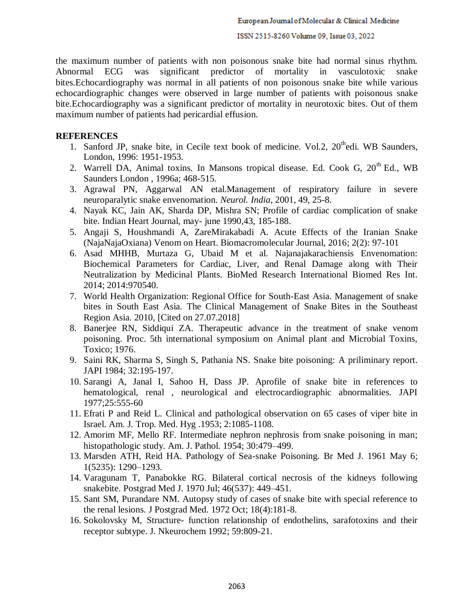the maximum number of patients with non poisonous snake bite had normal sinus rhythm. Abnormal ECG was significant predictor of mortality in vasculotoxic snake bites.Echocardiography was normal in all patients of non poisonous snake bite while various echocardiographic changes were observed in large number of patients with poisonous snake bite.Echocardiography was a significant predictor of mortality in neurotoxic bites. Out of them maximum number of patients had pericardial effusion.

#### **REFERENCES**

- 1. Sanford JP, snake bite, in Cecile text book of medicine. Vol.2,  $20<sup>th</sup>$ edi. WB Saunders, London, 1996: 1951-1953.
- 2. Warrell DA, Animal toxins. In Mansons tropical disease. Ed. Cook G,  $20<sup>th</sup>$  Ed., WB Saunders London , 1996a; 468-515.
- 3. Agrawal PN, Aggarwal AN etal.Management of respiratory failure in severe neuroparalytic snake envenomation. *Neurol. India*, 2001, 49, 25-8.
- 4. Nayak KC, Jain AK, Sharda DP, Mishra SN; Profile of cardiac complication of snake bite. Indian Heart Journal, may- june 1990,43, 185-188.
- 5. Angaji S, Houshmandi A, ZareMirakabadi A. Acute Effects of the Iranian Snake (NajaNajaOxiana) Venom on Heart. Biomacromolecular Journal, 2016; 2(2): 97-101
- 6. Asad MHHB, Murtaza G, Ubaid M et al. Najanajakarachiensis Envenomation: Biochemical Parameters for Cardiac, Liver, and Renal Damage along with Their Neutralization by Medicinal Plants. BioMed Research International Biomed Res Int. 2014; 2014:970540.
- 7. World Health Organization: Regional Office for South-East Asia. Management of snake bites in South East Asia. The Clinical Management of Snake Bites in the Southeast Region Asia. 2010, [Cited on 27.07.2018]
- 8. Banerjee RN, Siddiqui ZA. Therapeutic advance in the treatment of snake venom poisoning. Proc. 5th international symposium on Animal plant and Microbial Toxins, Toxico; 1976.
- 9. Saini RK, Sharma S, Singh S, Pathania NS. Snake bite poisoning: A priliminary report. JAPI 1984; 32:195-197.
- 10. Sarangi A, Janal I, Sahoo H, Dass JP. Aprofile of snake bite in references to hematological, renal , neurological and electrocardiographic abnormalities. JAPI 1977;25:555-60
- 11. Efrati P and Reid L. Clinical and pathological observation on 65 cases of viper bite in Israel. Am. J. Trop. Med. Hyg .1953; 2:1085-1108.
- 12. Amorim MF, Mello RF. Intermediate nephron nephrosis from snake poisoning in man; histopathologic study. Am. J. Pathol. 1954; 30:479–499.
- 13. Marsden ATH, Reid HA. Pathology of Sea-snake Poisoning. Br Med J. 1961 May 6; 1(5235): 1290–1293.
- 14. Varagunam T, Panabokke RG. Bilateral cortical necrosis of the kidneys following snakebite. Postgrad Med J. 1970 Jul; 46(537): 449–451.
- 15. Sant SM, Purandare NM. Autopsy study of cases of snake bite with special reference to the renal lesions. J Postgrad Med. 1972 Oct; 18(4):181-8.
- 16. Sokolovsky M, Structure- function relationship of endothelins, sarafotoxins and their receptor subtype. J. Nkeurochem 1992; 59:809-21.